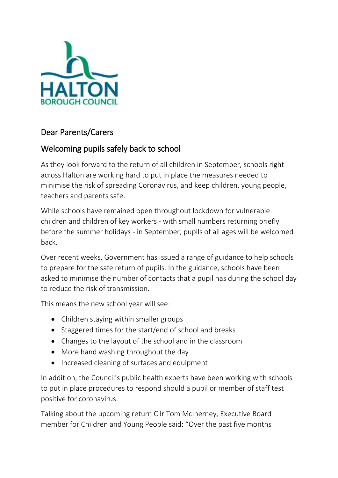

## Dear Parents/Carers

## Welcoming pupils safely back to school

As they look forward to the return of all children in September, schools right across Halton are working hard to put in place the measures needed to minimise the risk of spreading Coronavirus, and keep children, young people, teachers and parents safe.

While schools have remained open throughout lockdown for vulnerable children and children of key workers - with small numbers returning briefly before the summer holidays - in September, pupils of all ages will be welcomed back.

Over recent weeks, Government has issued a range of guidance to help schools to prepare for the safe return of pupils. In the guidance, schools have been asked to minimise the number of contacts that a pupil has during the school day to reduce the risk of transmission.

This means the new school year will see:

- Children staying within smaller groups
- Staggered times for the start/end of school and breaks
- Changes to the layout of the school and in the classroom
- More hand washing throughout the day
- Increased cleaning of surfaces and equipment

In addition, the Council's public health experts have been working with schools to put in place procedures to respond should a pupil or member of staff test positive for coronavirus.

Talking about the upcoming return Cllr Tom McInerney, Executive Board member for Children and Young People said: "Over the past five months